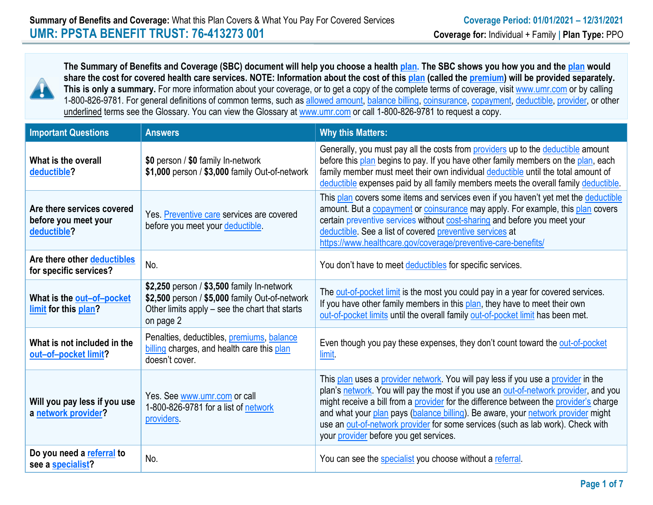

**The Summary of Benefits and Coverage (SBC) document will help you choose a health plan. The SBC shows you how you and the plan would share the cost for covered health care services. NOTE: Information about the cost of this plan (called the premium) will be provided separately.**  This is only a summary. For more information about your coverage, or to get a copy of the complete terms of coverage, visit www.umr.com or by calling 1-800-826-9781. For general definitions of common terms, such as allowed amount, balance billing, coinsurance, copayment, deductible, provider, or other underlined terms see the Glossary. You can view the Glossary at www.umr.com or call 1-800-826-9781 to request a copy.

| <b>Important Questions</b>                                        | <b>Answers</b>                                                                                                                                              | <b>Why this Matters:</b>                                                                                                                                                                                                                                                                                                                                                                                                                                                            |
|-------------------------------------------------------------------|-------------------------------------------------------------------------------------------------------------------------------------------------------------|-------------------------------------------------------------------------------------------------------------------------------------------------------------------------------------------------------------------------------------------------------------------------------------------------------------------------------------------------------------------------------------------------------------------------------------------------------------------------------------|
| What is the overall<br>deductible?                                | \$0 person / \$0 family In-network<br>\$1,000 person / \$3,000 family Out-of-network                                                                        | Generally, you must pay all the costs from <b>providers</b> up to the deductible amount<br>before this plan begins to pay. If you have other family members on the plan, each<br>family member must meet their own individual deductible until the total amount of<br>deductible expenses paid by all family members meets the overall family deductible.                                                                                                                           |
| Are there services covered<br>before you meet your<br>deductible? | Yes. Preventive care services are covered<br>before you meet your deductible.                                                                               | This plan covers some items and services even if you haven't yet met the deductible<br>amount. But a <b>copayment</b> or <b>coinsurance</b> may apply. For example, this plan covers<br>certain preventive services without cost-sharing and before you meet your<br>deductible. See a list of covered preventive services at<br>https://www.healthcare.gov/coverage/preventive-care-benefits/                                                                                      |
| Are there other deductibles<br>for specific services?             | No.                                                                                                                                                         | You don't have to meet deductibles for specific services.                                                                                                                                                                                                                                                                                                                                                                                                                           |
| What is the out-of-pocket<br>limit for this plan?                 | \$2,250 person / \$3,500 family In-network<br>\$2,500 person / \$5,000 family Out-of-network<br>Other limits apply – see the chart that starts<br>on page 2 | The out-of-pocket limit is the most you could pay in a year for covered services.<br>If you have other family members in this plan, they have to meet their own<br>out-of-pocket limits until the overall family out-of-pocket limit has been met.                                                                                                                                                                                                                                  |
| What is not included in the<br>out-of-pocket limit?               | Penalties, deductibles, premiums, balance<br>billing charges, and health care this plan<br>doesn't cover.                                                   | Even though you pay these expenses, they don't count toward the out-of-pocket<br><b>limit</b>                                                                                                                                                                                                                                                                                                                                                                                       |
| Will you pay less if you use<br>a network provider?               | Yes. See www.umr.com or call<br>1-800-826-9781 for a list of network<br>providers.                                                                          | This plan uses a provider network. You will pay less if you use a provider in the<br>plan's network. You will pay the most if you use an out-of-network provider, and you<br>might receive a bill from a provider for the difference between the provider's charge<br>and what your plan pays (balance billing). Be aware, your network provider might<br>use an out-of-network provider for some services (such as lab work). Check with<br>your provider before you get services. |
| Do you need a referral to<br>see a specialist?                    | No.                                                                                                                                                         | You can see the specialist you choose without a referral.                                                                                                                                                                                                                                                                                                                                                                                                                           |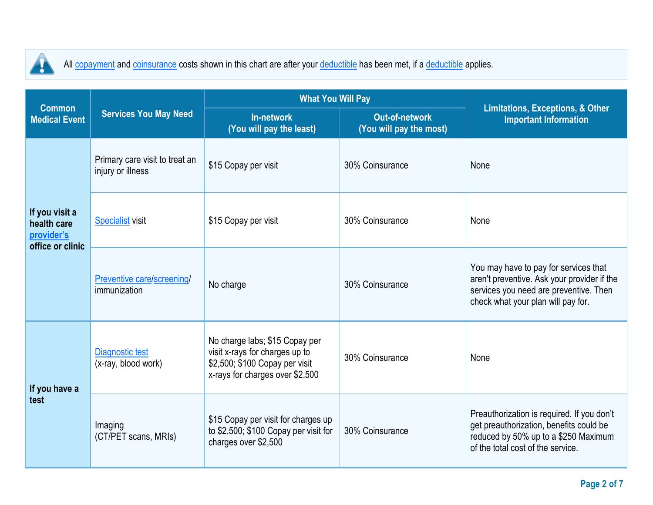

All copayment and coinsurance costs shown in this chart are after your deductible has been met, if a deductible applies.

| <b>Common</b>                                                   |                                                     | <b>What You Will Pay</b>                                                                                                              | <b>Limitations, Exceptions, &amp; Other</b> |                                                                                                                                                                      |  |
|-----------------------------------------------------------------|-----------------------------------------------------|---------------------------------------------------------------------------------------------------------------------------------------|---------------------------------------------|----------------------------------------------------------------------------------------------------------------------------------------------------------------------|--|
| <b>Medical Event</b>                                            | <b>Services You May Need</b>                        | In-network<br>(You will pay the least)                                                                                                | Out-of-network<br>(You will pay the most)   | <b>Important Information</b>                                                                                                                                         |  |
|                                                                 | Primary care visit to treat an<br>injury or illness | \$15 Copay per visit                                                                                                                  | 30% Coinsurance                             | None                                                                                                                                                                 |  |
| If you visit a<br>health care<br>provider's<br>office or clinic | <b>Specialist visit</b>                             | \$15 Copay per visit<br>30% Coinsurance                                                                                               |                                             | None                                                                                                                                                                 |  |
|                                                                 | Preventive care/screening/<br>immunization          | No charge                                                                                                                             | 30% Coinsurance                             | You may have to pay for services that<br>aren't preventive. Ask your provider if the<br>services you need are preventive. Then<br>check what your plan will pay for. |  |
| If you have a<br>test                                           | Diagnostic test<br>(x-ray, blood work)              | No charge labs; \$15 Copay per<br>visit x-rays for charges up to<br>\$2,500; \$100 Copay per visit<br>x-rays for charges over \$2,500 | 30% Coinsurance                             | None                                                                                                                                                                 |  |
|                                                                 | Imaging<br>(CT/PET scans, MRIs)                     | \$15 Copay per visit for charges up<br>to \$2,500; \$100 Copay per visit for<br>charges over \$2,500                                  | 30% Coinsurance                             | Preauthorization is required. If you don't<br>get preauthorization, benefits could be<br>reduced by 50% up to a \$250 Maximum<br>of the total cost of the service.   |  |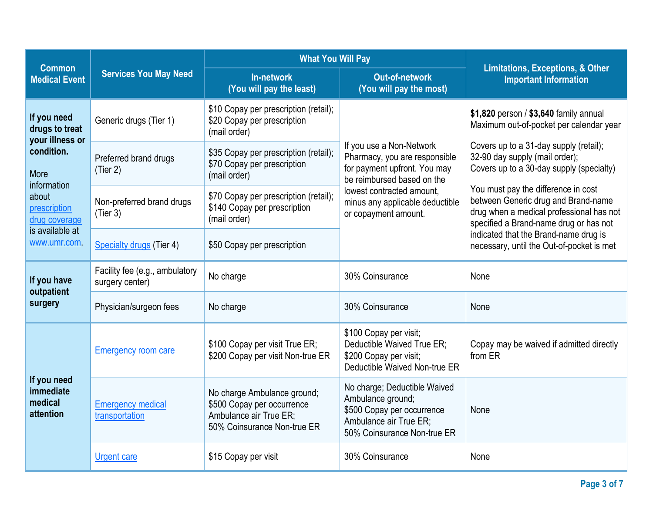|                                                                        |                                                   | <b>What You Will Pay</b>                                                                                           | <b>Limitations, Exceptions, &amp; Other</b>                                                                                              |                                                                                                                                                                  |  |
|------------------------------------------------------------------------|---------------------------------------------------|--------------------------------------------------------------------------------------------------------------------|------------------------------------------------------------------------------------------------------------------------------------------|------------------------------------------------------------------------------------------------------------------------------------------------------------------|--|
| <b>Common</b><br><b>Medical Event</b>                                  | <b>Services You May Need</b>                      | In-network<br>(You will pay the least)                                                                             | <b>Out-of-network</b><br>(You will pay the most)                                                                                         | <b>Important Information</b>                                                                                                                                     |  |
| If you need<br>drugs to treat<br>your illness or<br>condition.<br>More | Generic drugs (Tier 1)                            | \$10 Copay per prescription (retail);<br>\$20 Copay per prescription<br>(mail order)                               |                                                                                                                                          | \$1,820 person / \$3,640 family annual<br>Maximum out-of-pocket per calendar year                                                                                |  |
|                                                                        | Preferred brand drugs<br>(Tier 2)                 | \$35 Copay per prescription (retail);<br>\$70 Copay per prescription<br>(mail order)                               | If you use a Non-Network<br>Pharmacy, you are responsible<br>for payment upfront. You may<br>be reimbursed based on the                  | Covers up to a 31-day supply (retail);<br>32-90 day supply (mail order);<br>Covers up to a 30-day supply (specialty)                                             |  |
| information<br>about<br>prescription<br>drug coverage                  | Non-preferred brand drugs<br>(Tier 3)             | \$70 Copay per prescription (retail);<br>\$140 Copay per prescription<br>(mail order)                              | lowest contracted amount,<br>minus any applicable deductible<br>or copayment amount.                                                     | You must pay the difference in cost<br>between Generic drug and Brand-name<br>drug when a medical professional has not<br>specified a Brand-name drug or has not |  |
| is available at<br>www.umr.com                                         | Specialty drugs (Tier 4)                          | \$50 Copay per prescription                                                                                        |                                                                                                                                          | indicated that the Brand-name drug is<br>necessary, until the Out-of-pocket is met                                                                               |  |
| If you have<br>outpatient<br>surgery                                   | Facility fee (e.g., ambulatory<br>surgery center) | No charge                                                                                                          | 30% Coinsurance                                                                                                                          | None                                                                                                                                                             |  |
|                                                                        | Physician/surgeon fees                            | No charge                                                                                                          | 30% Coinsurance                                                                                                                          | None                                                                                                                                                             |  |
| If you need<br>immediate<br>medical<br>attention                       | <b>Emergency room care</b>                        | \$100 Copay per visit True ER;<br>\$200 Copay per visit Non-true ER                                                | \$100 Copay per visit;<br>Deductible Waived True ER;<br>\$200 Copay per visit;<br>Deductible Waived Non-true ER                          | Copay may be waived if admitted directly<br>from ER                                                                                                              |  |
|                                                                        | <b>Emergency medical</b><br>transportation        | No charge Ambulance ground;<br>\$500 Copay per occurrence<br>Ambulance air True ER;<br>50% Coinsurance Non-true ER | No charge; Deductible Waived<br>Ambulance ground;<br>\$500 Copay per occurrence<br>Ambulance air True ER;<br>50% Coinsurance Non-true ER | None                                                                                                                                                             |  |
|                                                                        | <b>Urgent care</b>                                | \$15 Copay per visit                                                                                               | 30% Coinsurance                                                                                                                          | None                                                                                                                                                             |  |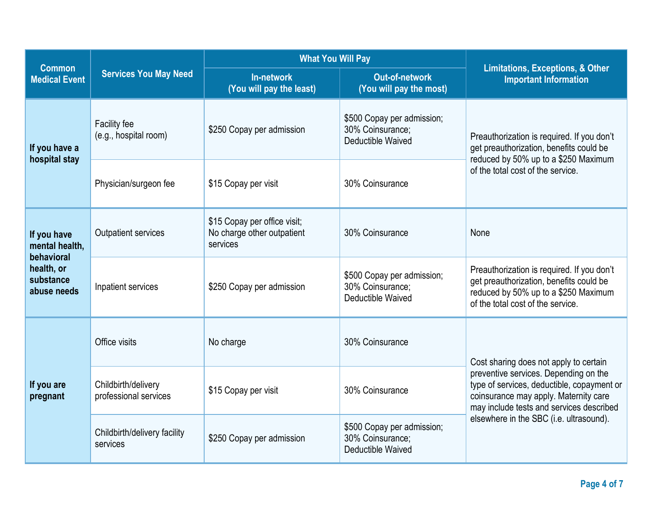|                                                                                       |                                                                      | <b>What You Will Pay</b>                                               |                                                                                                                                                                                             |                                                                                                                                                                    |  |
|---------------------------------------------------------------------------------------|----------------------------------------------------------------------|------------------------------------------------------------------------|---------------------------------------------------------------------------------------------------------------------------------------------------------------------------------------------|--------------------------------------------------------------------------------------------------------------------------------------------------------------------|--|
| <b>Common</b><br><b>Medical Event</b>                                                 | <b>Services You May Need</b>                                         | In-network<br>(You will pay the least)                                 | <b>Out-of-network</b><br>(You will pay the most)                                                                                                                                            | <b>Limitations, Exceptions, &amp; Other</b><br><b>Important Information</b>                                                                                        |  |
| If you have a<br>hospital stay                                                        | Facility fee<br>(e.g., hospital room)                                | \$250 Copay per admission                                              | \$500 Copay per admission;<br>30% Coinsurance:<br><b>Deductible Waived</b>                                                                                                                  | Preauthorization is required. If you don't<br>get preauthorization, benefits could be<br>reduced by 50% up to a \$250 Maximum<br>of the total cost of the service. |  |
|                                                                                       | Physician/surgeon fee                                                | \$15 Copay per visit                                                   | 30% Coinsurance                                                                                                                                                                             |                                                                                                                                                                    |  |
| If you have<br>mental health,<br>behavioral<br>health, or<br>substance<br>abuse needs | Outpatient services                                                  | \$15 Copay per office visit;<br>No charge other outpatient<br>services | 30% Coinsurance                                                                                                                                                                             | None                                                                                                                                                               |  |
|                                                                                       | Inpatient services                                                   | \$250 Copay per admission                                              | \$500 Copay per admission;<br>30% Coinsurance;<br>Deductible Waived                                                                                                                         | Preauthorization is required. If you don't<br>get preauthorization, benefits could be<br>reduced by 50% up to a \$250 Maximum<br>of the total cost of the service. |  |
| If you are<br>pregnant                                                                | Office visits                                                        | No charge                                                              | 30% Coinsurance                                                                                                                                                                             | Cost sharing does not apply to certain                                                                                                                             |  |
|                                                                                       | Childbirth/delivery<br>\$15 Copay per visit<br>professional services |                                                                        | preventive services. Depending on the<br>type of services, deductible, copayment or<br>30% Coinsurance<br>coinsurance may apply. Maternity care<br>may include tests and services described |                                                                                                                                                                    |  |
|                                                                                       | Childbirth/delivery facility<br>services                             | \$250 Copay per admission                                              | \$500 Copay per admission;<br>30% Coinsurance:<br>Deductible Waived                                                                                                                         | elsewhere in the SBC (i.e. ultrasound).                                                                                                                            |  |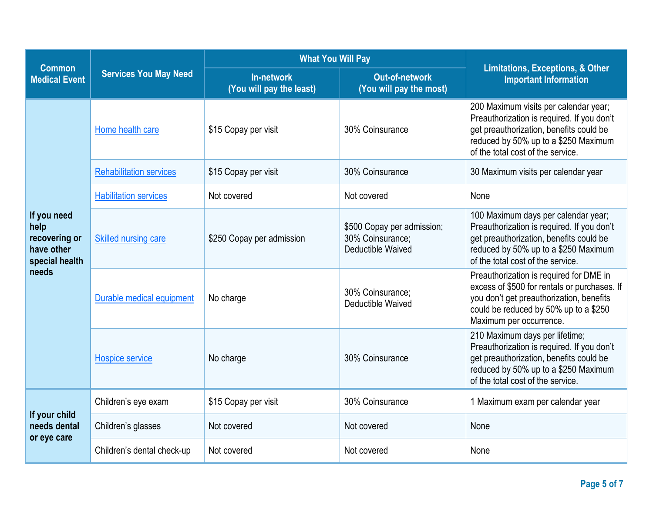| <b>Common</b>                                                                 |                                | <b>What You Will Pay</b>               | <b>Limitations, Exceptions, &amp; Other</b>                         |                                                                                                                                                                                                             |  |
|-------------------------------------------------------------------------------|--------------------------------|----------------------------------------|---------------------------------------------------------------------|-------------------------------------------------------------------------------------------------------------------------------------------------------------------------------------------------------------|--|
| <b>Medical Event</b>                                                          | <b>Services You May Need</b>   | In-network<br>(You will pay the least) | <b>Out-of-network</b><br>(You will pay the most)                    | <b>Important Information</b>                                                                                                                                                                                |  |
|                                                                               | Home health care               | \$15 Copay per visit                   | 30% Coinsurance                                                     | 200 Maximum visits per calendar year;<br>Preauthorization is required. If you don't<br>get preauthorization, benefits could be<br>reduced by 50% up to a \$250 Maximum<br>of the total cost of the service. |  |
|                                                                               | <b>Rehabilitation services</b> | \$15 Copay per visit                   | 30% Coinsurance                                                     | 30 Maximum visits per calendar year                                                                                                                                                                         |  |
|                                                                               | <b>Habilitation services</b>   | Not covered                            | Not covered                                                         | None                                                                                                                                                                                                        |  |
| If you need<br>help<br>recovering or<br>have other<br>special health<br>needs | Skilled nursing care           | \$250 Copay per admission              | \$500 Copay per admission;<br>30% Coinsurance;<br>Deductible Waived | 100 Maximum days per calendar year;<br>Preauthorization is required. If you don't<br>get preauthorization, benefits could be<br>reduced by 50% up to a \$250 Maximum<br>of the total cost of the service.   |  |
|                                                                               | Durable medical equipment      | No charge                              | 30% Coinsurance;<br>Deductible Waived                               | Preauthorization is required for DME in<br>excess of \$500 for rentals or purchases. If<br>you don't get preauthorization, benefits<br>could be reduced by 50% up to a \$250<br>Maximum per occurrence.     |  |
|                                                                               | Hospice service                | No charge                              | 30% Coinsurance                                                     | 210 Maximum days per lifetime;<br>Preauthorization is required. If you don't<br>get preauthorization, benefits could be<br>reduced by 50% up to a \$250 Maximum<br>of the total cost of the service.        |  |
| If your child<br>needs dental<br>or eye care                                  | Children's eye exam            | \$15 Copay per visit                   | 30% Coinsurance                                                     | 1 Maximum exam per calendar year                                                                                                                                                                            |  |
|                                                                               | Children's glasses             | Not covered                            | Not covered                                                         | None                                                                                                                                                                                                        |  |
|                                                                               | Children's dental check-up     | Not covered                            | Not covered                                                         | None                                                                                                                                                                                                        |  |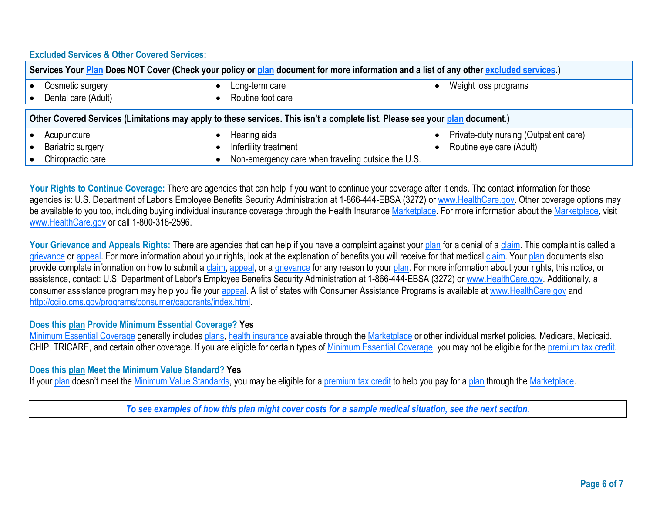## **Excluded Services & Other Covered Services:**

| Services Your Plan Does NOT Cover (Check your policy or plan document for more information and a list of any other excluded services.) |                                                    |  |                                        |  |  |
|----------------------------------------------------------------------------------------------------------------------------------------|----------------------------------------------------|--|----------------------------------------|--|--|
| Cosmetic surgery                                                                                                                       | Long-term care                                     |  | Weight loss programs                   |  |  |
| Dental care (Adult)                                                                                                                    | Routine foot care                                  |  |                                        |  |  |
| Other Covered Services (Limitations may apply to these services. This isn't a complete list. Please see your plan document.)           |                                                    |  |                                        |  |  |
| Acupuncture                                                                                                                            | Hearing aids                                       |  | Private-duty nursing (Outpatient care) |  |  |
| <b>Bariatric surgery</b>                                                                                                               | Infertility treatment                              |  | Routine eye care (Adult)               |  |  |
| Chiropractic care                                                                                                                      | Non-emergency care when traveling outside the U.S. |  |                                        |  |  |

Your Rights to Continue Coverage: There are agencies that can help if you want to continue your coverage after it ends. The contact information for those agencies is: U.S. Department of Labor's Employee Benefits Security Administration at 1-866-444-EBSA (3272) or [www.HealthCare.gov.](http://www.healthcare.gov/) Other coverage options may be available to you too, including buying individual insurance coverage through the Health Insurance Marketplace. For more information about the Marketplace, visit [www.HealthCare.gov](http://www.healthcare.gov/) or call 1-800-318-2596.

Your Grievance and Appeals Rights: There are agencies that can help if you have a complaint against your plan for a denial of a claim. This complaint is called a grievance or appeal. For more information about your rights, look at the explanation of benefits you will receive for that medical claim. Your plan documents also provide complete information on how to submit a claim, appeal, or a grievance for any reason to your plan. For more information about your rights, this notice, or assistance, contact: U.S. Department of Labor's Employee Benefits Security Administration at 1-866-444-EBSA (3272) o[r www.HealthCare.gov.](http://www.healthcare.gov/) Additionally, a consumer assistance program may help you file your appeal. A list of states with Consumer Assistance Programs is available at [www.HealthCare.gov](http://www.healthcare.gov/) and http://cciio.cms.gov/programs/consumer/capgrants/index.html

## **Does this plan Provide Minimum Essential Coverage? Yes**

Minimum Essential Coverage generally includes plans, health insurance available through the Marketplace or other individual market policies, Medicare, Medicaid, CHIP, TRICARE, and certain other coverage. If you are eligible for certain types of Minimum Essential Coverage, you may not be eligible for the premium tax credit.

## **Does this plan Meet the Minimum Value Standard? Yes**

If your plan doesn't meet the Minimum Value Standards, you may be eligible for a premium tax credit to help you pay for a plan through the Marketplace.

*To see examples of how this plan might cover costs for a sample medical situation, see the next section.*